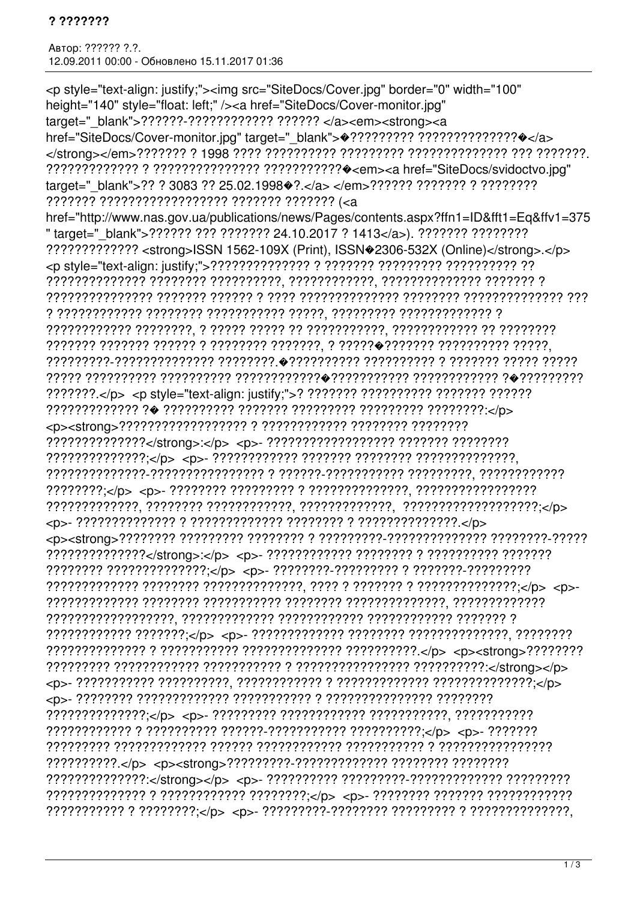Автор: ?????? ?.?. 12.09.2011 00:00 - Обновлено 15.11.2017 01:36

<p style="text-align: justify;"><img src="SiteDocs/Cover.jpg" border="0" width="100" height="140" style="float: left;" /><a href="SiteDocs/Cover-monitor.jpg" target=" blank">???????-????????????? ?????? </a><em><strong><a href="SiteDocs/Cover-monitor.jpg" target=" blank"> $\bullet$ ??????????????????????????? href="http://www.nas.gov.ua/publications/news/Pages/contents.aspx?ffn1=ID&fft1=Eq&ffv1=375 "target="blank">?????? ??? ???????? 24.10.2017 ? 1413</a>). ??????? ????????? ????????????? < strong>ISSN 1562-109X (Print), ISSN \$2306-532X (Online)</strong>.</p>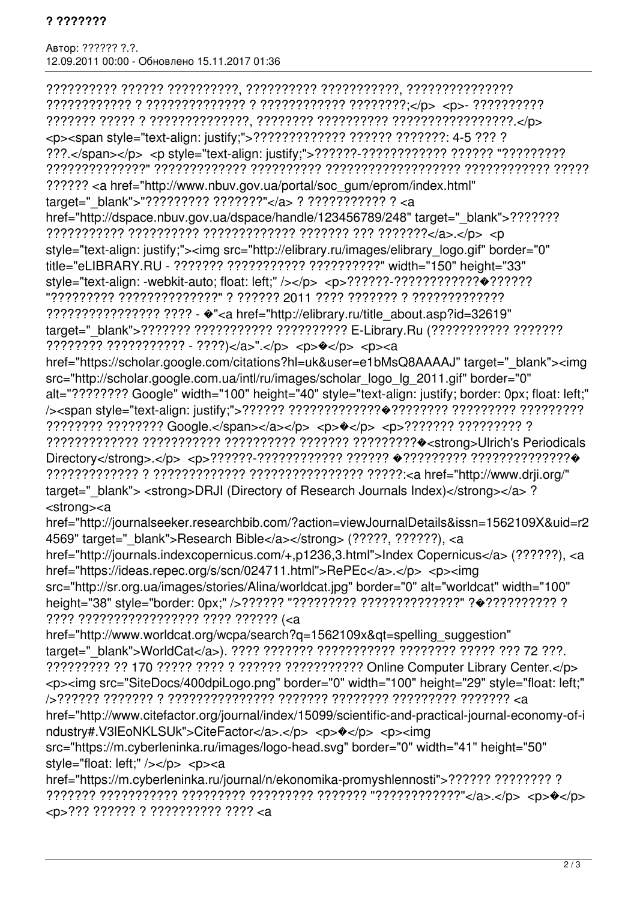Автор: ?????? ?.?. 12.09.2011 00:00 - Обновлено 15.11.2017 01:36

?????????? ?????? ??????????, ?????????? ???????????, ??????????????? ???????????? ? ?????????????? ? ???????????? ????????;</p> <p>- ?????????? ??????? ????? ? ??????????????, ???????? ?????????? ?????????????????.</p> <p><span style="text-align: justify;">????????????? ?????? ???????: 4-5 ??? ? ???.</span></p> <p style="text-align: justify;">??????-???????????? ?????? "????????? ??????????????" ????????????? ?????????? ??????????????????? ???????????? ????? ?????? <a href="http://www.nbuv.gov.ua/portal/soc\_gum/eprom/index.html" target="\_blank">"????????? ???????"</a> ? ??????????? ? <a href="http://dspace.nbuv.gov.ua/dspace/handle/123456789/248" target="\_blank">??????? ??????????? ?????????? ????????????? ??????? ??? ???????</a>.</p> <p style="text-align: justify;"><img src="http://elibrary.ru/images/elibrary\_logo.gif" border="0" title="eLIBRARY.RU - ??????? ??????????? ??????????" width="150" height="33" style="text-align: -webkit-auto; float: left;" /></p> <p>??????-????????????�?????? "????????? ??????????????" ? ?????? 2011 ???? ??????? ? ????????????? ???????????????? ???? - �"<a href="http://elibrary.ru/title\_about.asp?id=32619" target="\_blank">??????? ??????????? ??????????? E-Library.Ru (??????????? ???????? ???????? ??????????? - ????)</a>".</p> <p>�</p> <p><a href="https://scholar.google.com/citations?hl=uk&user=e1bMsQ8AAAAJ" target="\_blank"><img src="http://scholar.google.com.ua/intl/ru/images/scholar\_logo\_lg\_2011.gif" border="0" alt="???????? Google" width="100" height="40" style="text-align: justify; border: 0px; float: left;" /><span style="text-align: justify;">?????? ?????????????�???????? ????????? ????????? ???????? ???????? Google.</span></a></p> <p>�</p> <p>??????? ????????? ? ????????????? ??????????? ?????????? ??????? ?????????�<strong>Ulrich's Periodicals Directory</strong>.</p> <p>??????-???????????? ?????? �????????? ??????????????� ????????????? ? ????????????? ???????????????? ?????:<a href="http://www.drji.org/" target=" blank"> <strong>DRJI (Directory of Research Journals Index)</strong></a> ? <strong><a href="http://journalseeker.researchbib.com/?action=viewJournalDetails&issn=1562109X&uid=r2 4569" target="\_blank">Research Bible</a></strong> (?????, ??????), <a href="http://journals.indexcopernicus.com/+,p1236,3.html">Index Copernicus</a> (??????), <a href="https://ideas.repec.org/s/scn/024711.html">RePEc</a>.</p> <p><img src="http://sr.org.ua/images/stories/Alina/worldcat.jpg" border="0" alt="worldcat" width="100" height="38" style="border: 0px;" />?????? "????????? ??????????????" ?�?????????? ? ???? ????????????????? ???? ?????? (<a href="http://www.worldcat.org/wcpa/search?q=1562109x&qt=spelling\_suggestion" target="\_blank">WorldCat</a>). ???? ??????? ??????????? ???????? ????? ??? 72 ???. ????????? ?? 170 ????? ???? ? ?????? ??????????? Online Computer Library Center.</p> <p><img src="SiteDocs/400dpiLogo.png" border="0" width="100" height="29" style="float: left;" />?????? ??????? ? ??????????????? ??????? ???????? ????????? ??????? <a href="http://www.citefactor.org/journal/index/15099/scientific-and-practical-journal-economy-of-i ndustry#.V3IEoNKLSUk">CiteFactor</a>.</p> <p> $\langle p \rangle$  <p></p></p></p> src="https://m.cyberleninka.ru/images/logo-head.svg" border="0" width="41" height="50" style="float: left:" /></p> <p><a href="https://m.cyberleninka.ru/journal/n/ekonomika-promyshlennosti">?????? ???????? ? ??????? ??????????? ????????? ????????? ??????? "????????????"</a>.</p> <p>�</p> <p>??? ?????? ? ?????????? ???? <a